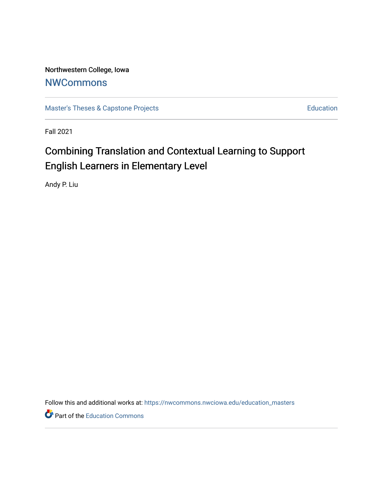Northwestern College, Iowa **[NWCommons](https://nwcommons.nwciowa.edu/)** 

[Master's Theses & Capstone Projects](https://nwcommons.nwciowa.edu/education_masters) **Education** Education

Fall 2021

# Combining Translation and Contextual Learning to Support English Learners in Elementary Level

Andy P. Liu

Follow this and additional works at: [https://nwcommons.nwciowa.edu/education\\_masters](https://nwcommons.nwciowa.edu/education_masters?utm_source=nwcommons.nwciowa.edu%2Feducation_masters%2F354&utm_medium=PDF&utm_campaign=PDFCoverPages)

Part of the [Education Commons](http://network.bepress.com/hgg/discipline/784?utm_source=nwcommons.nwciowa.edu%2Feducation_masters%2F354&utm_medium=PDF&utm_campaign=PDFCoverPages)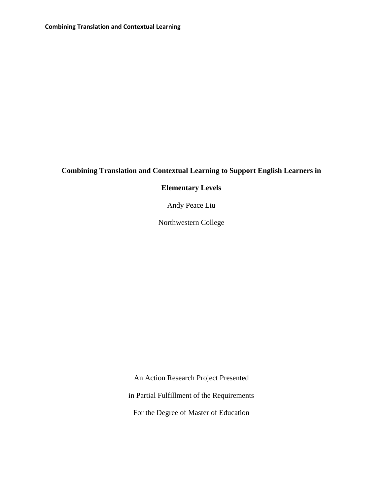### **Combining Translation and Contextual Learning to Support English Learners in**

### **Elementary Levels**

Andy Peace Liu

Northwestern College

An Action Research Project Presented

in Partial Fulfillment of the Requirements

For the Degree of Master of Education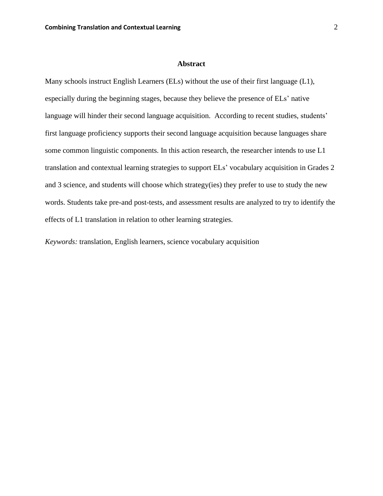#### **Abstract**

<span id="page-2-0"></span>Many schools instruct English Learners (ELs) without the use of their first language (L1), especially during the beginning stages, because they believe the presence of ELs' native language will hinder their second language acquisition. According to recent studies, students' first language proficiency supports their second language acquisition because languages share some common linguistic components. In this action research, the researcher intends to use L1 translation and contextual learning strategies to support ELs' vocabulary acquisition in Grades 2 and 3 science, and students will choose which strategy(ies) they prefer to use to study the new words. Students take pre-and post-tests, and assessment results are analyzed to try to identify the effects of L1 translation in relation to other learning strategies.

*Keywords:* translation, English learners, science vocabulary acquisition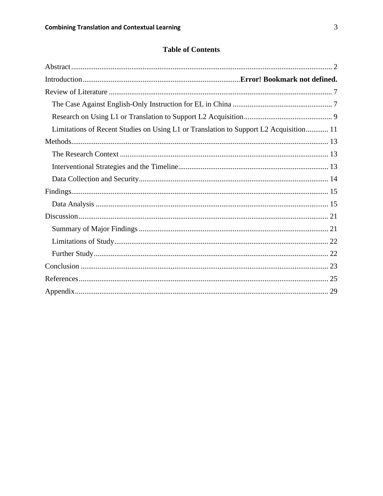### **Table of Contents**

| Limitations of Recent Studies on Using L1 or Translation to Support L2 Acquisition 11 |
|---------------------------------------------------------------------------------------|
|                                                                                       |
|                                                                                       |
|                                                                                       |
|                                                                                       |
|                                                                                       |
|                                                                                       |
|                                                                                       |
|                                                                                       |
|                                                                                       |
|                                                                                       |
|                                                                                       |
|                                                                                       |
|                                                                                       |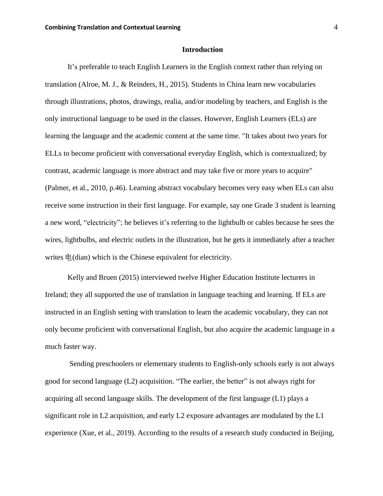### **Introduction**

It's preferable to teach English Learners in the English context rather than relying on translation (Alroe, M. J., & Reinders, H., 2015). Students in China learn new vocabularies through illustrations, photos, drawings, realia, and/or modeling by teachers, and English is the only instructional language to be used in the classes. However, English Learners (ELs) are learning the language and the academic content at the same time. "It takes about two years for ELLs to become proficient with conversational everyday English, which is contextualized; by contrast, academic language is more abstract and may take five or more years to acquire" (Palmer, et al., 2010, p.46). Learning abstract vocabulary becomes very easy when ELs can also receive some instruction in their first language. For example, say one Grade 3 student is learning a new word, "electricity"; he believes it's referring to the lightbulb or cables because he sees the wires, lightbulbs, and electric outlets in the illustration, but he gets it immediately after a teacher writes 电(dian) which is the Chinese equivalent for electricity.

Kelly and Bruen (2015) interviewed twelve Higher Education Institute lecturers in Ireland; they all supported the use of translation in language teaching and learning. If ELs are instructed in an English setting with translation to learn the academic vocabulary, they can not only become proficient with conversational English, but also acquire the academic language in a much faster way.

Sending preschoolers or elementary students to English-only schools early is not always good for second language (L2) acquisition. "The earlier, the better" is not always right for acquiring all second language skills. The development of the first language (L1) plays a significant role in L2 acquisition, and early L2 exposure advantages are modulated by the L1 experience (Xue, et al., 2019). According to the results of a research study conducted in Beijing,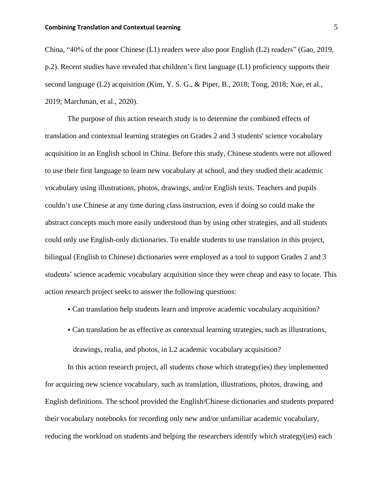### **Combining Translation and Contextual Learning** 5

China, "40% of the poor Chinese (L1) readers were also poor English (L2) readers" (Gao, 2019, p.2). Recent studies have revealed that children's first language (L1) proficiency supports their second language (L2) acquisition (Kim, Y. S. G., & Piper, B., 2018; Tong, 2018; Xue, et al., 2019; Marchman, et al., 2020).

The purpose of this action research study is to determine the combined effects of translation and contextual learning strategies on Grades 2 and 3 students' science vocabulary acquisition in an English school in China. Before this study, Chinese students were not allowed to use their first language to learn new vocabulary at school, and they studied their academic vocabulary using illustrations, photos, drawings, and/or English texts. Teachers and pupils couldn't use Chinese at any time during class instruction, even if doing so could make the abstract concepts much more easily understood than by using other strategies, and all students could only use English-only dictionaries. To enable students to use translation in this project, bilingual (English to Chinese) dictionaries were employed as a tool to support Grades 2 and 3 students' science academic vocabulary acquisition since they were cheap and easy to locate. This action research project seeks to answer the following questions:

- Can translation help students learn and improve academic vocabulary acquisition?
- Can translation be as effective as contextual learning strategies, such as illustrations, drawings, realia, and photos, in L2 academic vocabulary acquisition?

In this action research project, all students chose which strategy(ies) they implemented for acquiring new science vocabulary, such as translation, illustrations, photos, drawing, and English definitions. The school provided the English/Chinese dictionaries and students prepared their vocabulary notebooks for recording only new and/or unfamiliar academic vocabulary, reducing the workload on students and helping the researchers identify which strategy(ies) each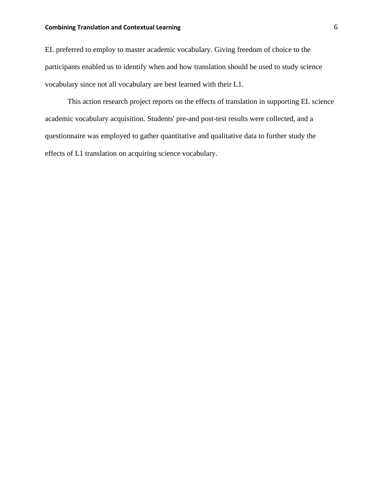### **Combining Translation and Contextual Learning 6 6 6 6 6 6 6 6 6 6 6 6 6 6 7 7 8 6 6 6 7 7 8 7 7 8 7 7 8 7 7 8 7 7 8 7 7 8 7 7 8 7 7 8 7 7 8 7 7 8 7 7 8 7 7 8 7 7 8 7 7 8 7 7 8 7 7 8 7 7 8 7 7 8 7 7 8 7 7 8 7 7 8 7 7 8 7 7**

EL preferred to employ to master academic vocabulary. Giving freedom of choice to the participants enabled us to identify when and how translation should be used to study science vocabulary since not all vocabulary are best learned with their L1.

This action research project reports on the effects of translation in supporting EL science academic vocabulary acquisition. Students' pre-and post-test results were collected, and a questionnaire was employed to gather quantitative and qualitative data to further study the effects of L1 translation on acquiring science vocabulary.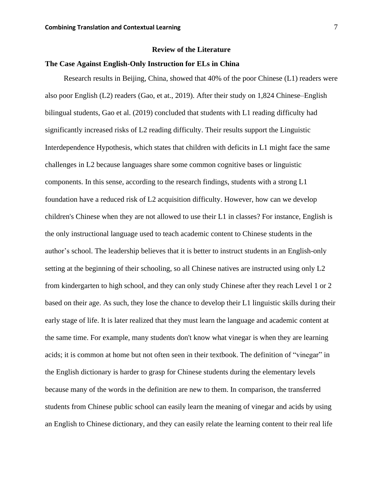### **Review of the Literature**

### **The Case Against English-Only Instruction for ELs in China**

Research results in Beijing, China, showed that 40% of the poor Chinese (L1) readers were also poor English (L2) readers (Gao, et at., 2019). After their study on 1,824 Chinese–English bilingual students, Gao et al. (2019) concluded that students with L1 reading difficulty had significantly increased risks of L2 reading difficulty. Their results support the Linguistic Interdependence Hypothesis, which states that children with deficits in L1 might face the same challenges in L2 because languages share some common cognitive bases or linguistic components. In this sense, according to the research findings, students with a strong L1 foundation have a reduced risk of L2 acquisition difficulty. However, how can we develop children's Chinese when they are not allowed to use their L1 in classes? For instance, English is the only instructional language used to teach academic content to Chinese students in the author's school. The leadership believes that it is better to instruct students in an English-only setting at the beginning of their schooling, so all Chinese natives are instructed using only L2 from kindergarten to high school, and they can only study Chinese after they reach Level 1 or 2 based on their age. As such, they lose the chance to develop their L1 linguistic skills during their early stage of life. It is later realized that they must learn the language and academic content at the same time. For example, many students don't know what vinegar is when they are learning acids; it is common at home but not often seen in their textbook. The definition of "vinegar" in the English dictionary is harder to grasp for Chinese students during the elementary levels because many of the words in the definition are new to them. In comparison, the transferred students from Chinese public school can easily learn the meaning of vinegar and acids by using an English to Chinese dictionary, and they can easily relate the learning content to their real life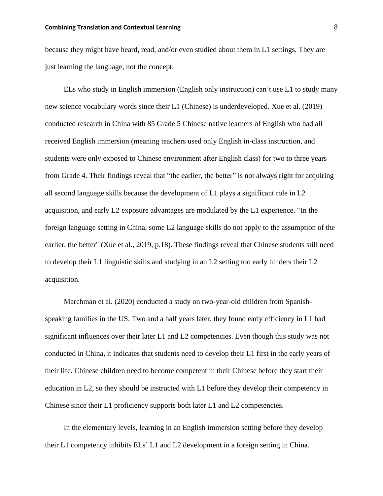### **Combining Translation and Contextual Learning** 8

because they might have heard, read, and/or even studied about them in L1 settings. They are just learning the language, not the concept.

ELs who study in English immersion (English only instruction) can't use L1 to study many new science vocabulary words since their L1 (Chinese) is underdeveloped. Xue et al. (2019) conducted research in China with 85 Grade 5 Chinese native learners of English who had all received English immersion (meaning teachers used only English in-class instruction, and students were only exposed to Chinese environment after English class) for two to three years from Grade 4. Their findings reveal that "the earlier, the better" is not always right for acquiring all second language skills because the development of L1 plays a significant role in L2 acquisition, and early L2 exposure advantages are modulated by the L1 experience. "In the foreign language setting in China, some L2 language skills do not apply to the assumption of the earlier, the better" (Xue et al., 2019, p.18). These findings reveal that Chinese students still need to develop their L1 linguistic skills and studying in an L2 setting too early hinders their L2 acquisition.

Marchman et al. (2020) conducted a study on two-year-old children from Spanishspeaking families in the US. Two and a half years later, they found early efficiency in L1 had significant influences over their later L1 and L2 competencies. Even though this study was not conducted in China, it indicates that students need to develop their L1 first in the early years of their life. Chinese children need to become competent in their Chinese before they start their education in L2, so they should be instructed with L1 before they develop their competency in Chinese since their L1 proficiency supports both later L1 and L2 competencies.

In the elementary levels, learning in an English immersion setting before they develop their L1 competency inhibits ELs' L1 and L2 development in a foreign setting in China.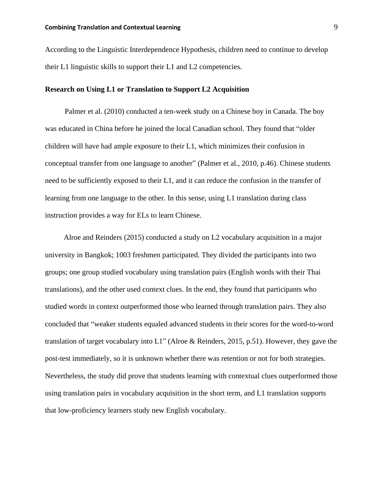According to the Linguistic Interdependence Hypothesis, children need to continue to develop their L1 linguistic skills to support their L1 and L2 competencies.

### **Research on Using L1 or Translation to Support L2 Acquisition**

Palmer et al. (2010) conducted a ten-week study on a Chinese boy in Canada. The boy was educated in China before he joined the local Canadian school. They found that "older children will have had ample exposure to their L1, which minimizes their confusion in conceptual transfer from one language to another" (Palmer et al., 2010, p.46). Chinese students need to be sufficiently exposed to their L1, and it can reduce the confusion in the transfer of learning from one language to the other. In this sense, using L1 translation during class instruction provides a way for ELs to learn Chinese.

Alroe and Reinders (2015) conducted a study on L2 vocabulary acquisition in a major university in Bangkok; 1003 freshmen participated. They divided the participants into two groups; one group studied vocabulary using translation pairs (English words with their Thai translations), and the other used context clues. In the end, they found that participants who studied words in context outperformed those who learned through translation pairs. They also concluded that "weaker students equaled advanced students in their scores for the word-to-word translation of target vocabulary into L1" (Alroe & Reinders, 2015, p.51). However, they gave the post-test immediately, so it is unknown whether there was retention or not for both strategies. Nevertheless, the study did prove that students learning with contextual clues outperformed those using translation pairs in vocabulary acquisition in the short term, and L1 translation supports that low-proficiency learners study new English vocabulary.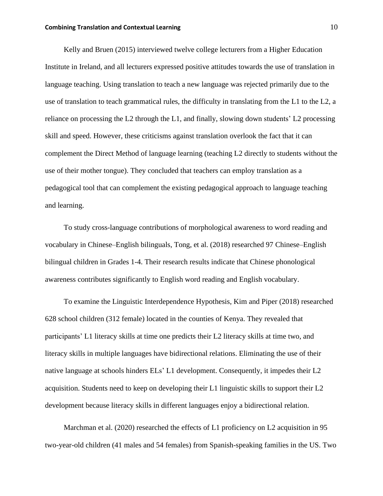### **Combining Translation and Contextual Learning 10 and 10 and 10 and 10 and 10 and 10 and 10 and 10 and 10 and 10 and 10 and 10 and 10 and 10 and 10 and 10 and 10 and 10 and 10 and 10 and 10 and 10 and 10 and 10 and 10 and**

Kelly and Bruen (2015) interviewed twelve college lecturers from a Higher Education Institute in Ireland, and all lecturers expressed positive attitudes towards the use of translation in language teaching. Using translation to teach a new language was rejected primarily due to the use of translation to teach grammatical rules, the difficulty in translating from the L1 to the L2, a reliance on processing the L2 through the L1, and finally, slowing down students' L2 processing skill and speed. However, these criticisms against translation overlook the fact that it can complement the Direct Method of language learning (teaching L2 directly to students without the use of their mother tongue). They concluded that teachers can employ translation as a pedagogical tool that can complement the existing pedagogical approach to language teaching and learning.

To study cross-language contributions of morphological awareness to word reading and vocabulary in Chinese–English bilinguals, Tong, et al. (2018) researched 97 Chinese–English bilingual children in Grades 1-4. Their research results indicate that Chinese phonological awareness contributes significantly to English word reading and English vocabulary.

To examine the Linguistic Interdependence Hypothesis, Kim and Piper (2018) researched 628 school children (312 female) located in the counties of Kenya. They revealed that participants' L1 literacy skills at time one predicts their L2 literacy skills at time two, and literacy skills in multiple languages have bidirectional relations. Eliminating the use of their native language at schools hinders ELs' L1 development. Consequently, it impedes their L2 acquisition. Students need to keep on developing their L1 linguistic skills to support their L2 development because literacy skills in different languages enjoy a bidirectional relation.

Marchman et al. (2020) researched the effects of L1 proficiency on L2 acquisition in 95 two-year-old children (41 males and 54 females) from Spanish-speaking families in the US. Two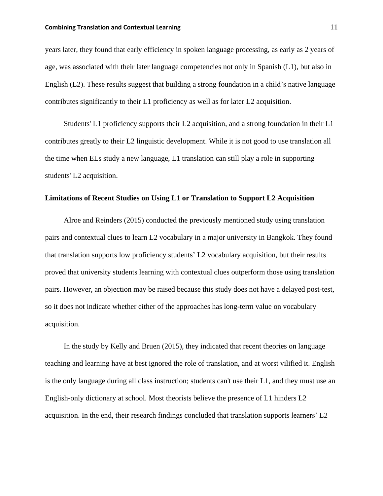### **Combining Translation and Contextual Learning 11 and 2008 12 and 2008 12 and 2008 12 and 2008 12 and 2008 12 and 2008 12 and 2008 12 and 2008 12 and 2008 12 and 2008 12 and 2008 12 and 2008 12 and 2008 12 and 2008 12 and**

years later, they found that early efficiency in spoken language processing, as early as 2 years of age, was associated with their later language competencies not only in Spanish (L1), but also in English (L2). These results suggest that building a strong foundation in a child's native language contributes significantly to their L1 proficiency as well as for later L2 acquisition.

Students' L1 proficiency supports their L2 acquisition, and a strong foundation in their L1 contributes greatly to their L2 linguistic development. While it is not good to use translation all the time when ELs study a new language, L1 translation can still play a role in supporting students' L2 acquisition.

### **Limitations of Recent Studies on Using L1 or Translation to Support L2 Acquisition**

Alroe and Reinders (2015) conducted the previously mentioned study using translation pairs and contextual clues to learn L2 vocabulary in a major university in Bangkok. They found that translation supports low proficiency students' L2 vocabulary acquisition, but their results proved that university students learning with contextual clues outperform those using translation pairs. However, an objection may be raised because this study does not have a delayed post-test, so it does not indicate whether either of the approaches has long-term value on vocabulary acquisition.

In the study by Kelly and Bruen (2015), they indicated that recent theories on language teaching and learning have at best ignored the role of translation, and at worst vilified it. English is the only language during all class instruction; students can't use their L1, and they must use an English-only dictionary at school. Most theorists believe the presence of L1 hinders L2 acquisition. In the end, their research findings concluded that translation supports learners' L2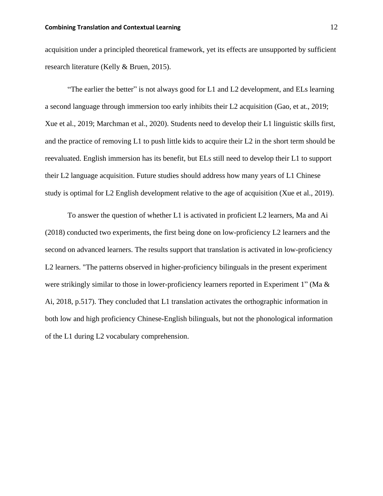acquisition under a principled theoretical framework, yet its effects are unsupported by sufficient research literature (Kelly & Bruen, 2015).

"The earlier the better" is not always good for L1 and L2 development, and ELs learning a second language through immersion too early inhibits their L2 acquisition (Gao, et at., 2019; Xue et al., 2019; Marchman et al., 2020). Students need to develop their L1 linguistic skills first, and the practice of removing L1 to push little kids to acquire their L2 in the short term should be reevaluated. English immersion has its benefit, but ELs still need to develop their L1 to support their L2 language acquisition. Future studies should address how many years of L1 Chinese study is optimal for L2 English development relative to the age of acquisition (Xue et al., 2019).

To answer the question of whether L1 is activated in proficient L2 learners, Ma and Ai (2018) conducted two experiments, the first being done on low-proficiency L2 learners and the second on advanced learners. The results support that translation is activated in low-proficiency L2 learners. "The patterns observed in higher-proficiency bilinguals in the present experiment were strikingly similar to those in lower-proficiency learners reported in Experiment 1" (Ma  $\&$ Ai, 2018, p.517). They concluded that L1 translation activates the orthographic information in both low and high proficiency Chinese-English bilinguals, but not the phonological information of the L1 during L2 vocabulary comprehension.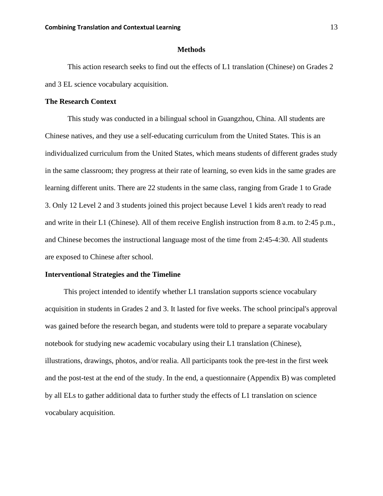### **Methods**

<span id="page-13-0"></span>This action research seeks to find out the effects of L1 translation (Chinese) on Grades 2 and 3 EL science vocabulary acquisition.

### **The Research Context**

This study was conducted in a bilingual school in Guangzhou, China. All students are Chinese natives, and they use a self-educating curriculum from the United States. This is an individualized curriculum from the United States, which means students of different grades study in the same classroom; they progress at their rate of learning, so even kids in the same grades are learning different units. There are 22 students in the same class, ranging from Grade 1 to Grade 3. Only 12 Level 2 and 3 students joined this project because Level 1 kids aren't ready to read and write in their L1 (Chinese). All of them receive English instruction from 8 a.m. to 2:45 p.m., and Chinese becomes the instructional language most of the time from 2:45-4:30. All students are exposed to Chinese after school.

#### **Interventional Strategies and the Timeline**

This project intended to identify whether L1 translation supports science vocabulary acquisition in students in Grades 2 and 3. It lasted for five weeks. The school principal's approval was gained before the research began, and students were told to prepare a separate vocabulary notebook for studying new academic vocabulary using their L1 translation (Chinese), illustrations, drawings, photos, and/or realia. All participants took the pre-test in the first week and the post-test at the end of the study. In the end, a questionnaire (Appendix B) was completed by all ELs to gather additional data to further study the effects of L1 translation on science vocabulary acquisition.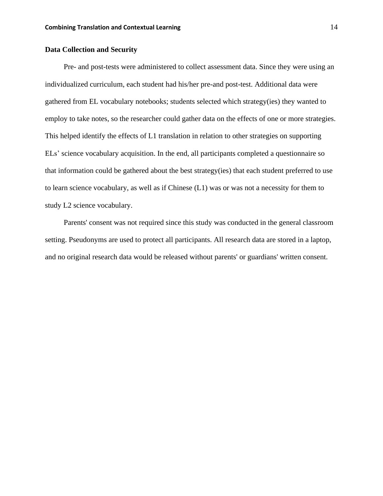### **Data Collection and Security**

Pre- and post-tests were administered to collect assessment data. Since they were using an individualized curriculum, each student had his/her pre-and post-test. Additional data were gathered from EL vocabulary notebooks; students selected which strategy(ies) they wanted to employ to take notes, so the researcher could gather data on the effects of one or more strategies. This helped identify the effects of L1 translation in relation to other strategies on supporting ELs' science vocabulary acquisition. In the end, all participants completed a questionnaire so that information could be gathered about the best strategy(ies) that each student preferred to use to learn science vocabulary, as well as if Chinese (L1) was or was not a necessity for them to study L2 science vocabulary.

Parents' consent was not required since this study was conducted in the general classroom setting. Pseudonyms are used to protect all participants. All research data are stored in a laptop, and no original research data would be released without parents' or guardians' written consent.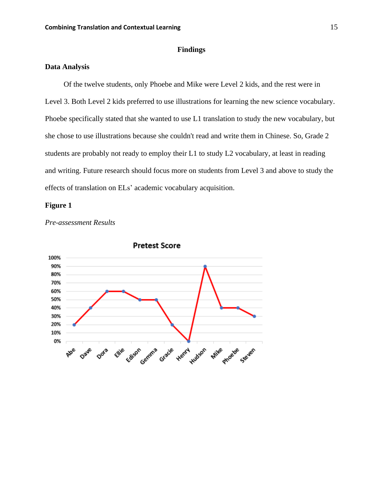### <span id="page-15-1"></span>**Findings**

### <span id="page-15-0"></span>**Data Analysis**

 Of the twelve students, only Phoebe and Mike were Level 2 kids, and the rest were in Level 3. Both Level 2 kids preferred to use illustrations for learning the new science vocabulary. Phoebe specifically stated that she wanted to use L1 translation to study the new vocabulary, but she chose to use illustrations because she couldn't read and write them in Chinese. So, Grade 2 students are probably not ready to employ their L1 to study L2 vocabulary, at least in reading and writing. Future research should focus more on students from Level 3 and above to study the effects of translation on ELs' academic vocabulary acquisition.

### **Figure 1**



*Pre-assessment Results*

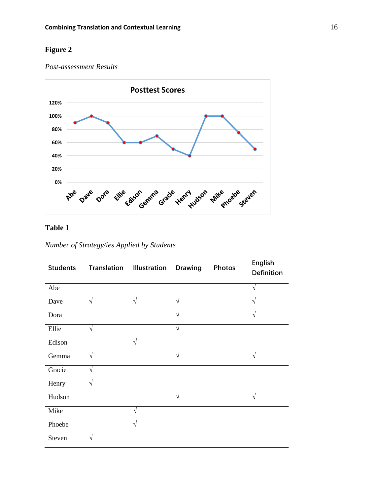### **Figure 2**

*Post-assessment Results*



### **Table 1**

*Number of Strategy/ies Applied by Students*

| <b>Students</b> |           | <b>Translation Illustration</b> | <b>Drawing</b> | <b>Photos</b> | English<br><b>Definition</b> |
|-----------------|-----------|---------------------------------|----------------|---------------|------------------------------|
| Abe             |           |                                 |                |               | ٦                            |
| Dave            | V         |                                 |                |               |                              |
| Dora            |           |                                 |                |               |                              |
| Ellie           | $\sqrt{}$ |                                 | N              |               |                              |
| Edison          |           | ٦Ι                              |                |               |                              |
| Gemma           | V         |                                 | V              |               |                              |
| Gracie          | $\sqrt{}$ |                                 |                |               |                              |
| Henry           | V         |                                 |                |               |                              |
| Hudson          |           |                                 | N              |               |                              |
| Mike            |           | 1                               |                |               |                              |
| Phoebe          |           |                                 |                |               |                              |
| Steven          | V         |                                 |                |               |                              |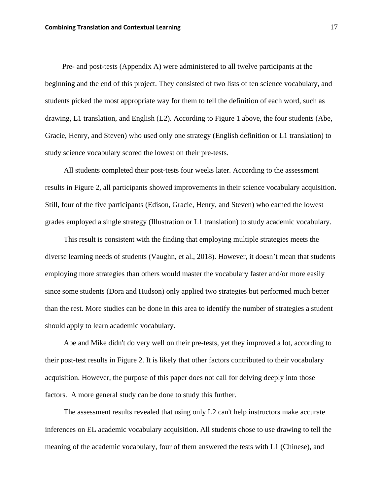Pre- and post-tests (Appendix A) were administered to all twelve participants at the beginning and the end of this project. They consisted of two lists of ten science vocabulary, and students picked the most appropriate way for them to tell the definition of each word, such as drawing, L1 translation, and English (L2). According to Figure 1 above, the four students (Abe, Gracie, Henry, and Steven) who used only one strategy (English definition or L1 translation) to study science vocabulary scored the lowest on their pre-tests.

All students completed their post-tests four weeks later. According to the assessment results in Figure 2, all participants showed improvements in their science vocabulary acquisition. Still, four of the five participants (Edison, Gracie, Henry, and Steven) who earned the lowest grades employed a single strategy (Illustration or L1 translation) to study academic vocabulary.

This result is consistent with the finding that employing multiple strategies meets the diverse learning needs of students (Vaughn, et al., 2018). However, it doesn't mean that students employing more strategies than others would master the vocabulary faster and/or more easily since some students (Dora and Hudson) only applied two strategies but performed much better than the rest. More studies can be done in this area to identify the number of strategies a student should apply to learn academic vocabulary.

Abe and Mike didn't do very well on their pre-tests, yet they improved a lot, according to their post-test results in Figure 2. It is likely that other factors contributed to their vocabulary acquisition. However, the purpose of this paper does not call for delving deeply into those factors. A more general study can be done to study this further.

The assessment results revealed that using only L2 can't help instructors make accurate inferences on EL academic vocabulary acquisition. All students chose to use drawing to tell the meaning of the academic vocabulary, four of them answered the tests with L1 (Chinese), and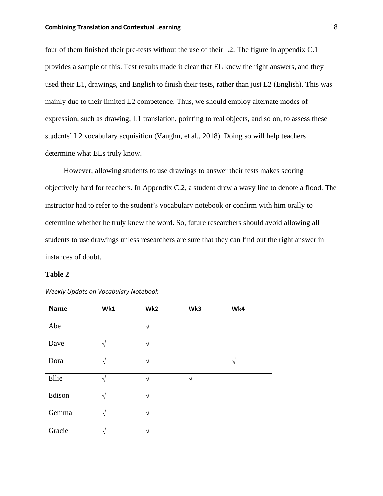### **Combining Translation and Contextual Learning 18 and 18 and 18 and 18 and 18 and 18 and 18 and 18 and 18 and 18 and 18 and 18 and 18 and 18 and 18 and 18 and 18 and 18 and 18 and 18 and 18 and 18 and 18 and 18 and 18 and**

four of them finished their pre-tests without the use of their L2. The figure in appendix C.1 provides a sample of this. Test results made it clear that EL knew the right answers, and they used their L1, drawings, and English to finish their tests, rather than just L2 (English). This was mainly due to their limited L2 competence. Thus, we should employ alternate modes of expression, such as drawing, L1 translation, pointing to real objects, and so on, to assess these students' L2 vocabulary acquisition (Vaughn, et al., 2018). Doing so will help teachers determine what ELs truly know.

However, allowing students to use drawings to answer their tests makes scoring objectively hard for teachers. In Appendix C.2, a student drew a wavy line to denote a flood. The instructor had to refer to the student's vocabulary notebook or confirm with him orally to determine whether he truly knew the word. So, future researchers should avoid allowing all students to use drawings unless researchers are sure that they can find out the right answer in instances of doubt.

#### **Table 2**

| <b>Name</b> | Wk1        | Wk2       | Wk3 | Wk4       |
|-------------|------------|-----------|-----|-----------|
| Abe         |            | $\sqrt{}$ |     |           |
| Dave        | $\sqrt{ }$ | $\sqrt{}$ |     |           |
| Dora        | $\sqrt{ }$ | $\sqrt{}$ |     | $\sqrt{}$ |
| Ellie       | $\sqrt{ }$ | N         | ٦   |           |
| Edison      | $\sqrt{ }$ | $\sqrt{}$ |     |           |
| Gemma       | $\sqrt{ }$ | $\sqrt{}$ |     |           |
| Gracie      | N          | ٦         |     |           |

#### *Weekly Update on Vocabulary Notebook*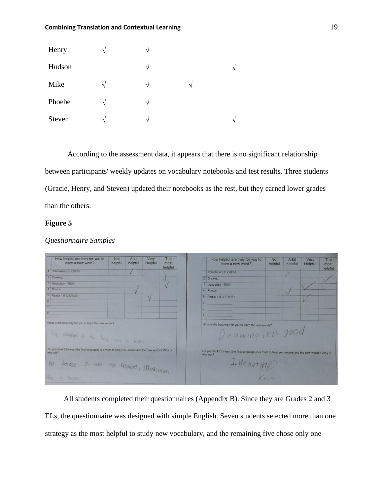| Henry  | $\sqrt{}$  | $\mathcal{N}$ |               |               |
|--------|------------|---------------|---------------|---------------|
| Hudson |            | $\sqrt{ }$    |               | $\mathcal{N}$ |
| Mike   |            | $\mathcal{N}$ | $\mathcal{N}$ |               |
| Phoebe | V          | $\sqrt{}$     |               |               |
| Steven | $\sqrt{ }$ | $\sim$        |               | ٦Ι            |

According to the assessment data, it appears that there is no significant relationship between participants' weekly updates on vocabulary notebooks and test results. Three students (Gracie, Henry, and Steven) updated their notebooks as the rest, but they earned lower grades than the others.

### **Figure 5**

|                | How helpful are they for you to<br>learn a new word?                                                         | Not<br>helpful | A bit<br>helpful | Very<br>Helpful | The<br>most<br>helpful |                | How helpful are they for you to<br>learn a new word?                                                         | <b>Not</b><br>helpful | A bit<br>helpful | Very<br>Helpful | The<br>most<br>helpful |
|----------------|--------------------------------------------------------------------------------------------------------------|----------------|------------------|-----------------|------------------------|----------------|--------------------------------------------------------------------------------------------------------------|-----------------------|------------------|-----------------|------------------------|
|                | 1 Translation(中文翻译)                                                                                          |                |                  |                 |                        |                | 1 Translation(中文翻译)                                                                                          |                       |                  |                 |                        |
|                | 2 Drawing                                                                                                    |                |                  |                 | $\sqrt{ }$             |                | 2 Drawing                                                                                                    |                       |                  |                 |                        |
|                | 3 Illustration (Willi)                                                                                       |                |                  |                 |                        |                | 3 Illustration (图画)                                                                                          |                       |                  |                 |                        |
|                | 4 Photos                                                                                                     |                |                  |                 |                        | $\Delta$       | Photos                                                                                                       |                       |                  |                 |                        |
|                | 5 Realia (真实的物品)                                                                                             |                |                  |                 |                        | 5 <sup>1</sup> | Realia (真实的物品)                                                                                               |                       |                  |                 |                        |
|                |                                                                                                              |                |                  |                 |                        |                |                                                                                                              |                       |                  |                 |                        |
|                |                                                                                                              |                |                  |                 |                        |                |                                                                                                              |                       |                  |                 |                        |
|                |                                                                                                              |                |                  |                 |                        |                |                                                                                                              |                       |                  |                 |                        |
|                | What is the best way for you to learn the new words?                                                         |                |                  |                 |                        |                | What is the best way for you to learn the new words?                                                         |                       |                  |                 |                        |
|                | Use drawing is the long may to learn                                                                         |                |                  |                 |                        |                | Drawing it is good                                                                                           |                       |                  |                 |                        |
|                | Do you think Chinese (the first language) is a must to help you understand the new words? Why or<br>why not? |                |                  |                 |                        |                | Do you think Chinese (the first language) is a must to help you understand the new words? Why or<br>why not? |                       |                  |                 |                        |
| n <sub>o</sub> | becase I can use Draming, Illustration                                                                       |                |                  |                 |                        |                | $I$ do not (no)                                                                                              |                       | <b>IL OF</b>     |                 |                        |
|                | His is goder.                                                                                                |                |                  |                 |                        |                |                                                                                                              | Know                  |                  |                 |                        |

### *Questionnaire Samples*

All students completed their questionnaires (Appendix B). Since they are Grades 2 and 3 ELs, the questionnaire was designed with simple English. Seven students selected more than one strategy as the most helpful to study new vocabulary, and the remaining five chose only one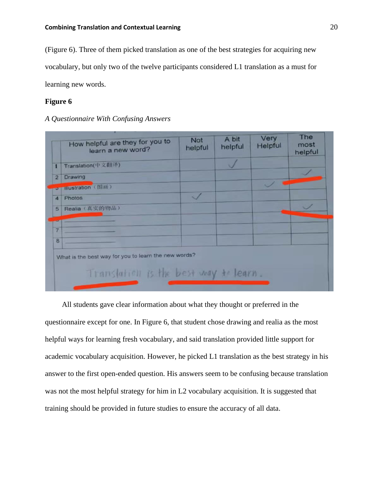(Figure 6). Three of them picked translation as one of the best strategies for acquiring new vocabulary, but only two of the twelve participants considered L1 translation as a must for learning new words.

### **Figure 6**

### *A Questionnaire With Confusing Answers*

|                | How helpful are they for you to<br>learn a new word?                                          | <b>Not</b><br>helpful | A bit<br>helpful | Very<br>Helpful | The<br>most<br>helpful |
|----------------|-----------------------------------------------------------------------------------------------|-----------------------|------------------|-----------------|------------------------|
| 1              | Translation(中文翻译)                                                                             |                       |                  |                 |                        |
| $\overline{2}$ | Drawing                                                                                       |                       |                  |                 |                        |
|                | o Hiustration (图画)                                                                            |                       |                  |                 |                        |
| $\overline{A}$ | <b>Photos</b>                                                                                 |                       |                  |                 |                        |
| 5              | Realia (真实的物品)                                                                                |                       |                  |                 |                        |
|                |                                                                                               |                       |                  |                 |                        |
| $\overline{7}$ |                                                                                               |                       |                  |                 |                        |
| 8              |                                                                                               |                       |                  |                 |                        |
|                | What is the best way for you to learn the new words?<br>Translation is the best way to learn. |                       |                  |                 |                        |

 All students gave clear information about what they thought or preferred in the questionnaire except for one. In Figure 6, that student chose drawing and realia as the most helpful ways for learning fresh vocabulary, and said translation provided little support for academic vocabulary acquisition. However, he picked L1 translation as the best strategy in his answer to the first open-ended question. His answers seem to be confusing because translation was not the most helpful strategy for him in L2 vocabulary acquisition. It is suggested that training should be provided in future studies to ensure the accuracy of all data.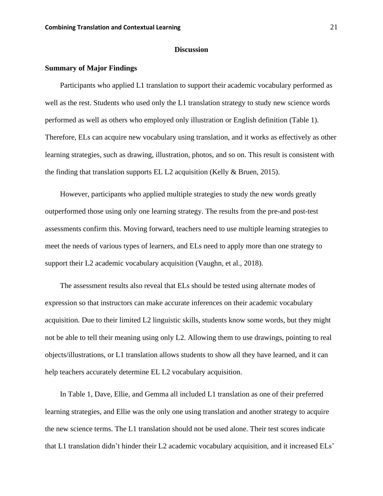### **Discussion**

#### <span id="page-21-1"></span><span id="page-21-0"></span>**Summary of Major Findings**

Participants who applied L1 translation to support their academic vocabulary performed as well as the rest. Students who used only the L1 translation strategy to study new science words performed as well as others who employed only illustration or English definition (Table 1). Therefore, ELs can acquire new vocabulary using translation, and it works as effectively as other learning strategies, such as drawing, illustration, photos, and so on. This result is consistent with the finding that translation supports EL L2 acquisition (Kelly & Bruen, 2015).

However, participants who applied multiple strategies to study the new words greatly outperformed those using only one learning strategy. The results from the pre-and post-test assessments confirm this. Moving forward, teachers need to use multiple learning strategies to meet the needs of various types of learners, and ELs need to apply more than one strategy to support their L2 academic vocabulary acquisition (Vaughn, et al., 2018).

The assessment results also reveal that ELs should be tested using alternate modes of expression so that instructors can make accurate inferences on their academic vocabulary acquisition. Due to their limited L2 linguistic skills, students know some words, but they might not be able to tell their meaning using only L2. Allowing them to use drawings, pointing to real objects/illustrations, or L1 translation allows students to show all they have learned, and it can help teachers accurately determine EL L2 vocabulary acquisition.

In Table 1, Dave, Ellie, and Gemma all included L1 translation as one of their preferred learning strategies, and Ellie was the only one using translation and another strategy to acquire the new science terms. The L1 translation should not be used alone. Their test scores indicate that L1 translation didn't hinder their L2 academic vocabulary acquisition, and it increased ELs'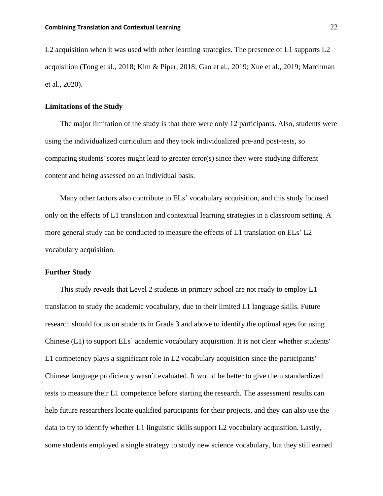L2 acquisition when it was used with other learning strategies. The presence of L1 supports L2 acquisition (Tong et al., 2018; Kim & Piper, 2018; Gao et al., 2019; Xue et al., 2019; Marchman et al., 2020).

### <span id="page-22-0"></span>**Limitations of the Study**

The major limitation of the study is that there were only 12 participants. Also, students were using the individualized curriculum and they took individualized pre-and post-tests, so comparing students' scores might lead to greater error(s) since they were studying different content and being assessed on an individual basis.

Many other factors also contribute to ELs' vocabulary acquisition, and this study focused only on the effects of L1 translation and contextual learning strategies in a classroom setting. A more general study can be conducted to measure the effects of L1 translation on ELs' L2 vocabulary acquisition.

### <span id="page-22-1"></span>**Further Study**

This study reveals that Level 2 students in primary school are not ready to employ L1 translation to study the academic vocabulary, due to their limited L1 language skills. Future research should focus on students in Grade 3 and above to identify the optimal ages for using Chinese (L1) to support ELs' academic vocabulary acquisition. It is not clear whether students' L1 competency plays a significant role in L2 vocabulary acquisition since the participants' Chinese language proficiency wasn't evaluated. It would be better to give them standardized tests to measure their L1 competence before starting the research. The assessment results can help future researchers locate qualified participants for their projects, and they can also use the data to try to identify whether L1 linguistic skills support L2 vocabulary acquisition. Lastly, some students employed a single strategy to study new science vocabulary, but they still earned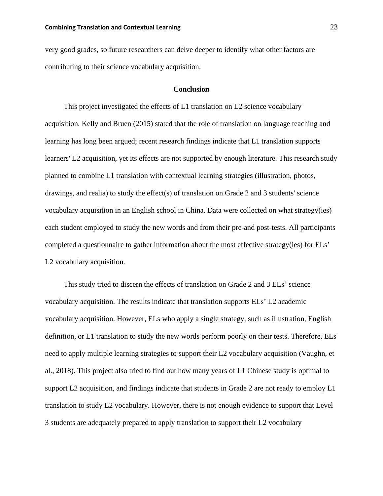very good grades, so future researchers can delve deeper to identify what other factors are contributing to their science vocabulary acquisition.

### **Conclusion**

<span id="page-23-0"></span>This project investigated the effects of L1 translation on L2 science vocabulary acquisition. Kelly and Bruen (2015) stated that the role of translation on language teaching and learning has long been argued; recent research findings indicate that L1 translation supports learners' L2 acquisition, yet its effects are not supported by enough literature. This research study planned to combine L1 translation with contextual learning strategies (illustration, photos, drawings, and realia) to study the effect(s) of translation on Grade 2 and 3 students' science vocabulary acquisition in an English school in China. Data were collected on what strategy(ies) each student employed to study the new words and from their pre-and post-tests. All participants completed a questionnaire to gather information about the most effective strategy(ies) for ELs' L2 vocabulary acquisition.

This study tried to discern the effects of translation on Grade 2 and 3 ELs' science vocabulary acquisition. The results indicate that translation supports ELs' L2 academic vocabulary acquisition. However, ELs who apply a single strategy, such as illustration, English definition, or L1 translation to study the new words perform poorly on their tests. Therefore, ELs need to apply multiple learning strategies to support their L2 vocabulary acquisition (Vaughn, et al., 2018). This project also tried to find out how many years of L1 Chinese study is optimal to support L2 acquisition, and findings indicate that students in Grade 2 are not ready to employ L1 translation to study L2 vocabulary. However, there is not enough evidence to support that Level 3 students are adequately prepared to apply translation to support their L2 vocabulary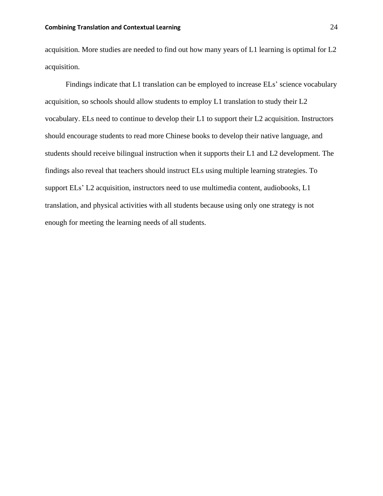acquisition. More studies are needed to find out how many years of L1 learning is optimal for L2 acquisition.

 Findings indicate that L1 translation can be employed to increase ELs' science vocabulary acquisition, so schools should allow students to employ L1 translation to study their L2 vocabulary. ELs need to continue to develop their L1 to support their L2 acquisition. Instructors should encourage students to read more Chinese books to develop their native language, and students should receive bilingual instruction when it supports their L1 and L2 development. The findings also reveal that teachers should instruct ELs using multiple learning strategies. To support ELs' L2 acquisition, instructors need to use multimedia content, audiobooks, L1 translation, and physical activities with all students because using only one strategy is not enough for meeting the learning needs of all students.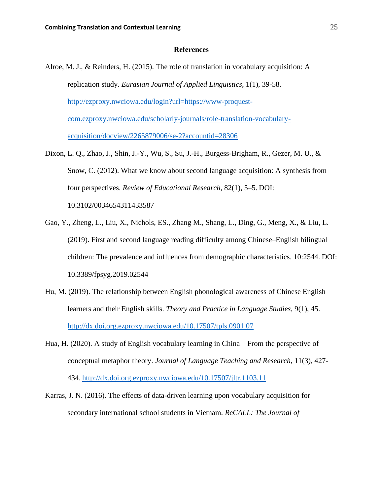### **References**

- <span id="page-25-0"></span>Alroe, M. J., & Reinders, H. (2015). The role of translation in vocabulary acquisition: A replication study. *Eurasian Journal of Applied Linguistics*, 1(1), 39-58. [http://ezproxy.nwciowa.edu/login?url=https://www-proquest](http://ezproxy.nwciowa.edu/login?url=https://www-proquest-com.ezproxy.nwciowa.edu/scholarly-journals/role-translation-vocabulary-acquisition/docview/2265879006/se-2?accountid=28306)[com.ezproxy.nwciowa.edu/scholarly-journals/role-translation-vocabulary](http://ezproxy.nwciowa.edu/login?url=https://www-proquest-com.ezproxy.nwciowa.edu/scholarly-journals/role-translation-vocabulary-acquisition/docview/2265879006/se-2?accountid=28306)[acquisition/docview/2265879006/se-2?accountid=28306](http://ezproxy.nwciowa.edu/login?url=https://www-proquest-com.ezproxy.nwciowa.edu/scholarly-journals/role-translation-vocabulary-acquisition/docview/2265879006/se-2?accountid=28306)
- Dixon, L. Q., Zhao, J., Shin, J.-Y., Wu, S., Su, J.-H., Burgess-Brigham, R., Gezer, M. U., & Snow, C. (2012). What we know about second language acquisition: A synthesis from four perspectives. *Review of Educational Research*, 82(1), 5–5. DOI: 10.3102/0034654311433587
- Gao, Y., Zheng, L., Liu, X., Nichols, ES., Zhang M., Shang, L., Ding, G., Meng, X., & Liu, L. (2019). First and second language reading difficulty among Chinese–English bilingual children: The prevalence and influences from demographic characteristics. 10:2544. DOI: 10.3389/fpsyg.2019.02544
- Hu, M. (2019). The relationship between English phonological awareness of Chinese English learners and their English skills. *Theory and Practice in Language Studies*, 9(1), 45. <http://dx.doi.org.ezproxy.nwciowa.edu/10.17507/tpls.0901.07>
- Hua, H. (2020). A study of English vocabulary learning in China—From the perspective of conceptual metaphor theory. *Journal of Language Teaching and Research*, 11(3), 427- 434. <http://dx.doi.org.ezproxy.nwciowa.edu/10.17507/jltr.1103.11>
- Karras, J. N. (2016). The effects of data-driven learning upon vocabulary acquisition for secondary international school students in Vietnam. *ReCALL: The Journal of*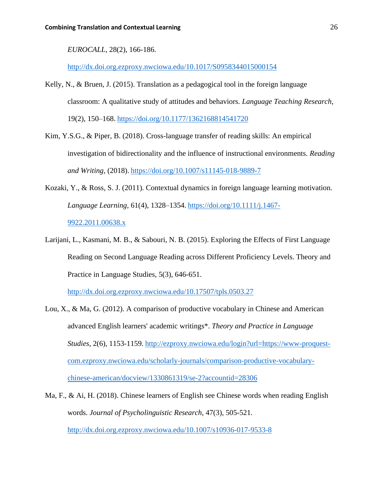*EUROCALL*, 28(2), 166-186.

<http://dx.doi.org.ezproxy.nwciowa.edu/10.1017/S0958344015000154>

- Kelly, N., & Bruen, J. (2015). Translation as a pedagogical tool in the foreign language classroom: A qualitative study of attitudes and behaviors. *Language Teaching Research*, 19(2), 150–168. <https://doi.org/10.1177/1362168814541720>
- Kim, Y.S.G., & Piper, B. (2018). Cross-language transfer of reading skills: An empirical investigation of bidirectionality and the influence of instructional environments. *Reading and Writing*, (2018). <https://doi.org/10.1007/s11145-018-9889-7>
- Kozaki, Y., & Ross, S. J. (2011). Contextual dynamics in foreign language learning motivation. *Language Learning*, 61(4), 1328–1354. [https://doi.org/10.1111/j.1467-](https://doi.org/10.1111/j.1467-9922.2011.00638.x) [9922.2011.00638.x](https://doi.org/10.1111/j.1467-9922.2011.00638.x)
- Larijani, L., Kasmani, M. B., & Sabouri, N. B. (2015). Exploring the Effects of First Language Reading on Second Language Reading across Different Proficiency Levels. Theory and Practice in Language Studies, 5(3), 646-651.

<http://dx.doi.org.ezproxy.nwciowa.edu/10.17507/tpls.0503.27>

- Lou, X., & Ma, G. (2012). A comparison of productive vocabulary in Chinese and American advanced English learners' academic writings\*. *Theory and Practice in Language Studies*, 2(6), 1153-1159. [http://ezproxy.nwciowa.edu/login?url=https://www-proquest](http://ezproxy.nwciowa.edu/login?url=https://www-proquest-com.ezproxy.nwciowa.edu/scholarly-journals/comparison-productive-vocabulary-chinese-american/docview/1330861319/se-2?accountid=28306)[com.ezproxy.nwciowa.edu/scholarly-journals/comparison-productive-vocabulary](http://ezproxy.nwciowa.edu/login?url=https://www-proquest-com.ezproxy.nwciowa.edu/scholarly-journals/comparison-productive-vocabulary-chinese-american/docview/1330861319/se-2?accountid=28306)[chinese-american/docview/1330861319/se-2?accountid=28306](http://ezproxy.nwciowa.edu/login?url=https://www-proquest-com.ezproxy.nwciowa.edu/scholarly-journals/comparison-productive-vocabulary-chinese-american/docview/1330861319/se-2?accountid=28306)
- Ma, F., & Ai, H. (2018). Chinese learners of English see Chinese words when reading English words. *Journal of Psycholinguistic Research*, 47(3), 505-521. <http://dx.doi.org.ezproxy.nwciowa.edu/10.1007/s10936-017-9533-8>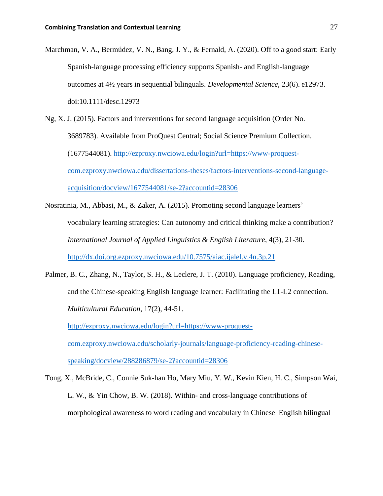- Marchman, V. A., Bermúdez, V. N., Bang, J. Y., & Fernald, A. (2020). Off to a good start: Early Spanish-language processing efficiency supports Spanish- and English-language outcomes at 4½ years in sequential bilinguals. *Developmental Science*, 23(6). e12973. doi:10.1111/desc.12973
- Ng, X. J. (2015). Factors and interventions for second language acquisition (Order No. 3689783). Available from ProQuest Central; Social Science Premium Collection. (1677544081). [http://ezproxy.nwciowa.edu/login?url=https://www-proquest](http://ezproxy.nwciowa.edu/login?url=https://www-proquest-com.ezproxy.nwciowa.edu/dissertations-theses/factors-interventions-second-language-acquisition/docview/1677544081/se-2?accountid=28306)[com.ezproxy.nwciowa.edu/dissertations-theses/factors-interventions-second-language](http://ezproxy.nwciowa.edu/login?url=https://www-proquest-com.ezproxy.nwciowa.edu/dissertations-theses/factors-interventions-second-language-acquisition/docview/1677544081/se-2?accountid=28306)[acquisition/docview/1677544081/se-2?accountid=28306](http://ezproxy.nwciowa.edu/login?url=https://www-proquest-com.ezproxy.nwciowa.edu/dissertations-theses/factors-interventions-second-language-acquisition/docview/1677544081/se-2?accountid=28306)
- Nosratinia, M., Abbasi, M., & Zaker, A. (2015). Promoting second language learners' vocabulary learning strategies: Can autonomy and critical thinking make a contribution? *International Journal of Applied Linguistics & English Literature*, 4(3), 21-30. <http://dx.doi.org.ezproxy.nwciowa.edu/10.7575/aiac.ijalel.v.4n.3p.21>
- Palmer, B. C., Zhang, N., Taylor, S. H., & Leclere, J. T. (2010). Language proficiency, Reading, and the Chinese-speaking English language learner: Facilitating the L1-L2 connection. *Multicultural Education*, 17(2), 44-51. [http://ezproxy.nwciowa.edu/login?url=https://www-proquest](http://ezproxy.nwciowa.edu/login?url=https://www-proquest-com.ezproxy.nwciowa.edu/scholarly-journals/language-proficiency-reading-chinese-speaking/docview/288286879/se-2?accountid=28306)[com.ezproxy.nwciowa.edu/scholarly-journals/language-proficiency-reading-chinese-](http://ezproxy.nwciowa.edu/login?url=https://www-proquest-com.ezproxy.nwciowa.edu/scholarly-journals/language-proficiency-reading-chinese-speaking/docview/288286879/se-2?accountid=28306)

[speaking/docview/288286879/se-2?accountid=28306](http://ezproxy.nwciowa.edu/login?url=https://www-proquest-com.ezproxy.nwciowa.edu/scholarly-journals/language-proficiency-reading-chinese-speaking/docview/288286879/se-2?accountid=28306)

Tong, X., McBride, C., Connie Suk-han Ho, Mary Miu, Y. W., Kevin Kien, H. C., Simpson Wai, L. W., & Yin Chow, B. W. (2018). Within- and cross-language contributions of morphological awareness to word reading and vocabulary in Chinese–English bilingual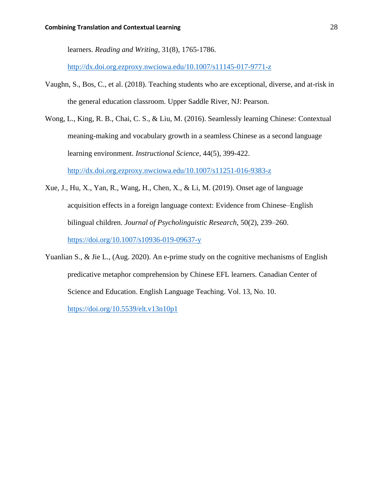learners. *Reading and Writing*, 31(8), 1765-1786.

<http://dx.doi.org.ezproxy.nwciowa.edu/10.1007/s11145-017-9771-z>

- Vaughn, S., Bos, C., et al. (2018). Teaching students who are exceptional, diverse, and at-risk in the general education classroom. Upper Saddle River, NJ: Pearson.
- Wong, L., King, R. B., Chai, C. S., & Liu, M. (2016). Seamlessly learning Chinese: Contextual meaning-making and vocabulary growth in a seamless Chinese as a second language learning environment. *Instructional Science*, 44(5), 399-422. <http://dx.doi.org.ezproxy.nwciowa.edu/10.1007/s11251-016-9383-z>
- Xue, J., Hu, X., Yan, R., Wang, H., Chen, X., & Li, M. (2019). Onset age of language acquisition effects in a foreign language context: Evidence from Chinese–English bilingual children. *Journal of Psycholinguistic Research*, 50(2), 239–260. <https://doi.org/10.1007/s10936-019-09637-y>
- Yuanlian S., & Jie L., (Aug. 2020). An e-prime study on the cognitive mechanisms of English predicative metaphor comprehension by Chinese EFL learners. Canadian Center of Science and Education. English Language Teaching. Vol. 13, No. 10.

<https://doi.org/10.5539/elt.v13n10p1>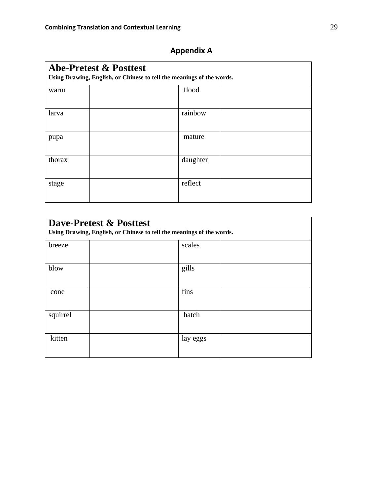| <b>Abe-Pretest &amp; Posttest</b><br>Using Drawing, English, or Chinese to tell the meanings of the words. |  |          |  |  |  |
|------------------------------------------------------------------------------------------------------------|--|----------|--|--|--|
| warm                                                                                                       |  | flood    |  |  |  |
| larva                                                                                                      |  | rainbow  |  |  |  |
| pupa                                                                                                       |  | mature   |  |  |  |
| thorax                                                                                                     |  | daughter |  |  |  |
| stage                                                                                                      |  | reflect  |  |  |  |

## **Appendix A**

| <b>Dave-Pretest &amp; Posttest</b><br>Using Drawing, English, or Chinese to tell the meanings of the words. |          |  |  |  |
|-------------------------------------------------------------------------------------------------------------|----------|--|--|--|
| breeze                                                                                                      | scales   |  |  |  |
| blow                                                                                                        | gills    |  |  |  |
| cone                                                                                                        | fins     |  |  |  |
| squirrel                                                                                                    | hatch    |  |  |  |
| kitten                                                                                                      | lay eggs |  |  |  |

٦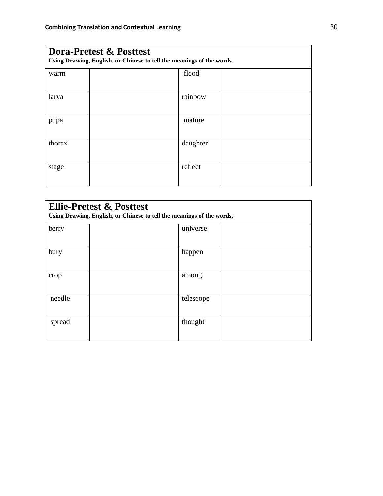| <b>Dora-Pretest &amp; Posttest</b><br>Using Drawing, English, or Chinese to tell the meanings of the words. |  |          |  |  |
|-------------------------------------------------------------------------------------------------------------|--|----------|--|--|
| warm                                                                                                        |  | flood    |  |  |
| larva                                                                                                       |  | rainbow  |  |  |
| pupa                                                                                                        |  | mature   |  |  |
| thorax                                                                                                      |  | daughter |  |  |
| stage                                                                                                       |  | reflect  |  |  |

| <b>Ellie-Pretest &amp; Posttest</b><br>Using Drawing, English, or Chinese to tell the meanings of the words. |  |           |  |  |
|--------------------------------------------------------------------------------------------------------------|--|-----------|--|--|
| berry                                                                                                        |  | universe  |  |  |
| bury                                                                                                         |  | happen    |  |  |
| crop                                                                                                         |  | among     |  |  |
| needle                                                                                                       |  | telescope |  |  |
| spread                                                                                                       |  | thought   |  |  |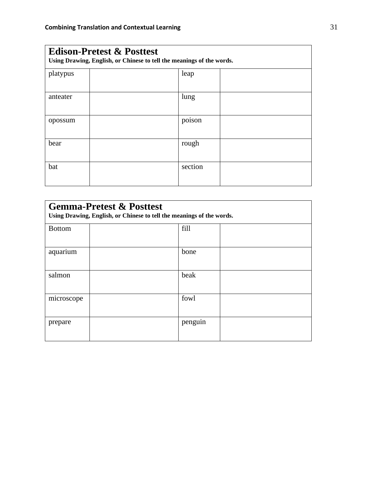| <b>Edison-Pretest &amp; Posttest</b><br>Using Drawing, English, or Chinese to tell the meanings of the words. |  |         |  |  |
|---------------------------------------------------------------------------------------------------------------|--|---------|--|--|
| platypus                                                                                                      |  | leap    |  |  |
| anteater                                                                                                      |  | lung    |  |  |
| opossum                                                                                                       |  | poison  |  |  |
| bear                                                                                                          |  | rough   |  |  |
| bat                                                                                                           |  | section |  |  |

| <b>Gemma-Pretest &amp; Posttest</b><br>Using Drawing, English, or Chinese to tell the meanings of the words. |  |         |  |  |
|--------------------------------------------------------------------------------------------------------------|--|---------|--|--|
| <b>Bottom</b>                                                                                                |  | fill    |  |  |
| aquarium                                                                                                     |  | bone    |  |  |
| salmon                                                                                                       |  | beak    |  |  |
| microscope                                                                                                   |  | fowl    |  |  |
| prepare                                                                                                      |  | penguin |  |  |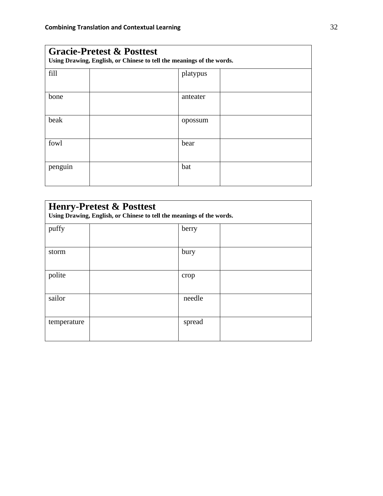| <b>Gracie-Pretest &amp; Posttest</b><br>Using Drawing, English, or Chinese to tell the meanings of the words. |  |          |  |
|---------------------------------------------------------------------------------------------------------------|--|----------|--|
| fill                                                                                                          |  | platypus |  |
| bone                                                                                                          |  | anteater |  |
| beak                                                                                                          |  | opossum  |  |
| fowl                                                                                                          |  | bear     |  |
| penguin                                                                                                       |  | bat      |  |

| <b>Henry-Pretest &amp; Posttest</b><br>Using Drawing, English, or Chinese to tell the meanings of the words. |  |        |  |
|--------------------------------------------------------------------------------------------------------------|--|--------|--|
| puffy                                                                                                        |  | berry  |  |
| storm                                                                                                        |  | bury   |  |
| polite                                                                                                       |  | crop   |  |
| sailor                                                                                                       |  | needle |  |
| temperature                                                                                                  |  | spread |  |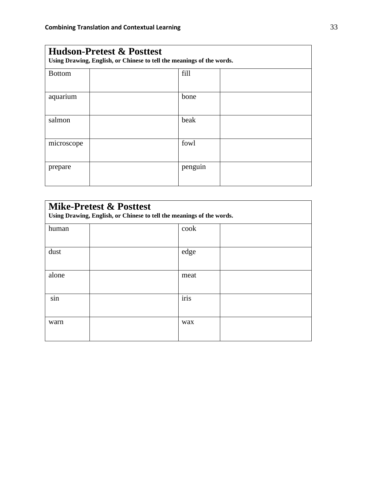| <b>Hudson-Pretest &amp; Posttest</b><br>Using Drawing, English, or Chinese to tell the meanings of the words. |  |         |  |
|---------------------------------------------------------------------------------------------------------------|--|---------|--|
| <b>Bottom</b>                                                                                                 |  | fill    |  |
| aquarium                                                                                                      |  | bone    |  |
| salmon                                                                                                        |  | beak    |  |
| microscope                                                                                                    |  | fowl    |  |
| prepare                                                                                                       |  | penguin |  |

| <b>Mike-Pretest &amp; Posttest</b><br>Using Drawing, English, or Chinese to tell the meanings of the words. |  |      |  |
|-------------------------------------------------------------------------------------------------------------|--|------|--|
| human                                                                                                       |  | cook |  |
| dust                                                                                                        |  | edge |  |
| alone                                                                                                       |  | meat |  |
| $\bullet$<br>sin                                                                                            |  | iris |  |
| warn                                                                                                        |  | wax  |  |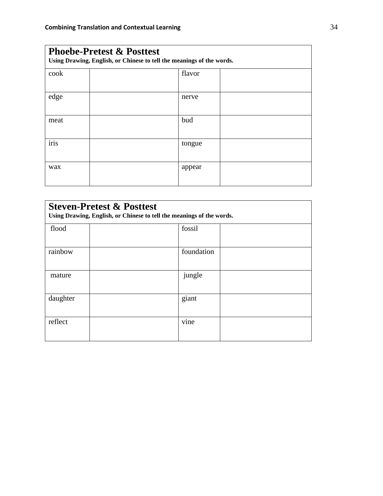| <b>Phoebe-Pretest &amp; Posttest</b><br>Using Drawing, English, or Chinese to tell the meanings of the words. |  |        |  |
|---------------------------------------------------------------------------------------------------------------|--|--------|--|
| cook                                                                                                          |  | flavor |  |
| edge                                                                                                          |  | nerve  |  |
| meat                                                                                                          |  | bud    |  |
| iris                                                                                                          |  | tongue |  |
| wax                                                                                                           |  | appear |  |

| <b>Steven-Pretest &amp; Posttest</b><br>Using Drawing, English, or Chinese to tell the meanings of the words. |  |            |  |
|---------------------------------------------------------------------------------------------------------------|--|------------|--|
| flood                                                                                                         |  | fossil     |  |
| rainbow                                                                                                       |  | foundation |  |
| mature                                                                                                        |  | jungle     |  |
| daughter                                                                                                      |  | giant      |  |
| reflect                                                                                                       |  | vine       |  |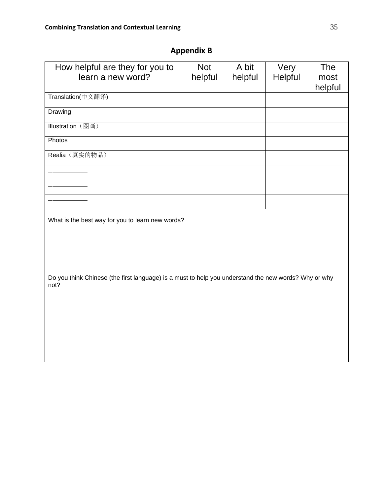| How helpful are they for you to<br>learn a new word?                                                         | <b>Not</b><br>helpful | A bit<br>helpful | Very<br>Helpful | <b>The</b><br>most<br>helpful |
|--------------------------------------------------------------------------------------------------------------|-----------------------|------------------|-----------------|-------------------------------|
| Translation(中文翻译)                                                                                            |                       |                  |                 |                               |
| Drawing                                                                                                      |                       |                  |                 |                               |
| Illustration (图画)                                                                                            |                       |                  |                 |                               |
| Photos                                                                                                       |                       |                  |                 |                               |
| Realia (真实的物品)                                                                                               |                       |                  |                 |                               |
|                                                                                                              |                       |                  |                 |                               |
|                                                                                                              |                       |                  |                 |                               |
|                                                                                                              |                       |                  |                 |                               |
| What is the best way for you to learn new words?                                                             |                       |                  |                 |                               |
|                                                                                                              |                       |                  |                 |                               |
|                                                                                                              |                       |                  |                 |                               |
|                                                                                                              |                       |                  |                 |                               |
| Do you think Chinese (the first language) is a must to help you understand the new words? Why or why<br>not? |                       |                  |                 |                               |
|                                                                                                              |                       |                  |                 |                               |
|                                                                                                              |                       |                  |                 |                               |
|                                                                                                              |                       |                  |                 |                               |
|                                                                                                              |                       |                  |                 |                               |
|                                                                                                              |                       |                  |                 |                               |

## **Appendix B**